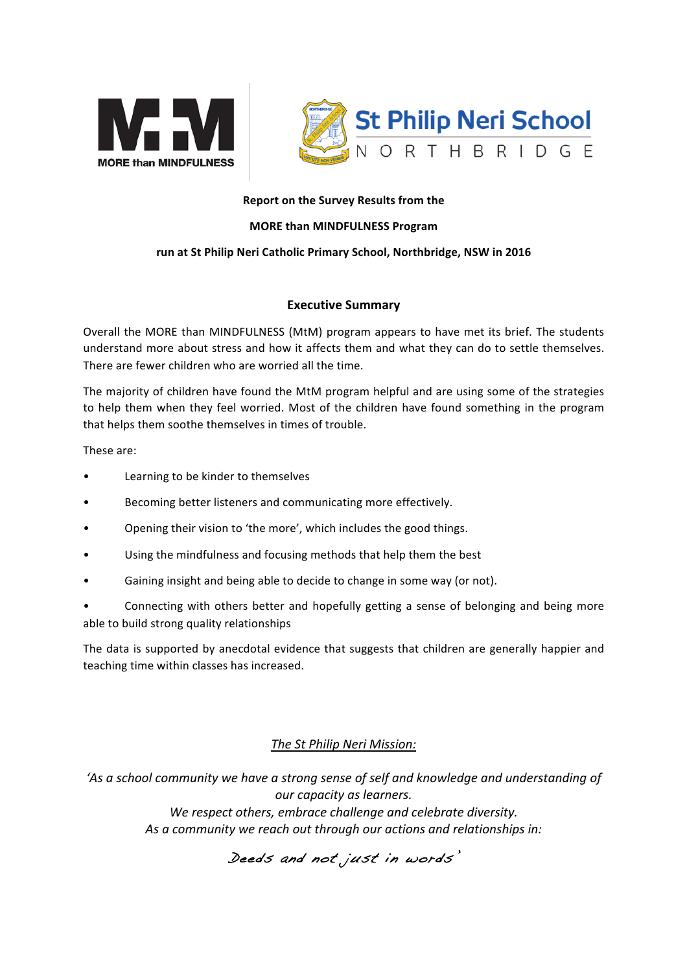



#### **Report on the Survey Results from the**

#### **MORE than MINDFULNESS Program**

#### run at St Philip Neri Catholic Primary School, Northbridge, NSW in 2016

#### **Executive Summary**

Overall the MORE than MINDFULNESS (MtM) program appears to have met its brief. The students understand more about stress and how it affects them and what they can do to settle themselves. There are fewer children who are worried all the time.

The majority of children have found the MtM program helpful and are using some of the strategies to help them when they feel worried. Most of the children have found something in the program that helps them soothe themselves in times of trouble.

These are:

- Learning to be kinder to themselves
- Becoming better listeners and communicating more effectively.
- Opening their vision to 'the more', which includes the good things.
- Using the mindfulness and focusing methods that help them the best
- Gaining insight and being able to decide to change in some way (or not).
- Connecting with others better and hopefully getting a sense of belonging and being more able to build strong quality relationships

The data is supported by anecdotal evidence that suggests that children are generally happier and teaching time within classes has increased.

# *The St Philip Neri Mission:*

'As a school community we have a strong sense of self and knowledge and understanding of *our capacity as learners.* We respect others, embrace challenge and celebrate diversity. As a community we reach out through our actions and relationships in:

# Deeds and not just in words'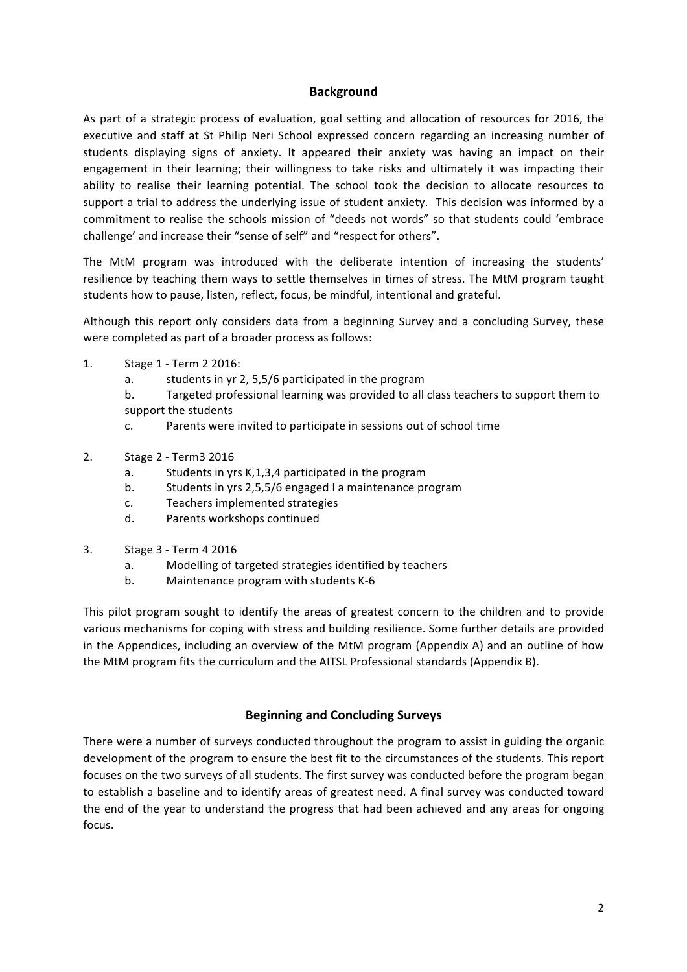### **Background**

As part of a strategic process of evaluation, goal setting and allocation of resources for 2016, the executive and staff at St Philip Neri School expressed concern regarding an increasing number of students displaying signs of anxiety. It appeared their anxiety was having an impact on their engagement in their learning; their willingness to take risks and ultimately it was impacting their ability to realise their learning potential. The school took the decision to allocate resources to support a trial to address the underlying issue of student anxiety. This decision was informed by a commitment to realise the schools mission of "deeds not words" so that students could 'embrace challenge' and increase their "sense of self" and "respect for others".

The MtM program was introduced with the deliberate intention of increasing the students' resilience by teaching them ways to settle themselves in times of stress. The MtM program taught students how to pause, listen, reflect, focus, be mindful, intentional and grateful.

Although this report only considers data from a beginning Survey and a concluding Survey, these were completed as part of a broader process as follows:

- 1. Stage 1 Term 2 2016:
	- a. students in yr 2, 5,5/6 participated in the program
	- b. Targeted professional learning was provided to all class teachers to support them to support the students
	- c. Parents were invited to participate in sessions out of school time
- 2. Stage 2 Term3 2016
	- a. Students in yrs K,1,3,4 participated in the program
	- b. Students in yrs 2,5,5/6 engaged I a maintenance program
	- c. Teachers implemented strategies
	- d. Parents workshops continued
- 3. Stage 3 Term 4 2016
	- a. Modelling of targeted strategies identified by teachers
	- b. Maintenance program with students K-6

This pilot program sought to identify the areas of greatest concern to the children and to provide various mechanisms for coping with stress and building resilience. Some further details are provided in the Appendices, including an overview of the MtM program (Appendix A) and an outline of how the MtM program fits the curriculum and the AITSL Professional standards (Appendix B).

### **Beginning and Concluding Surveys**

There were a number of surveys conducted throughout the program to assist in guiding the organic development of the program to ensure the best fit to the circumstances of the students. This report focuses on the two surveys of all students. The first survey was conducted before the program began to establish a baseline and to identify areas of greatest need. A final survey was conducted toward the end of the year to understand the progress that had been achieved and any areas for ongoing focus.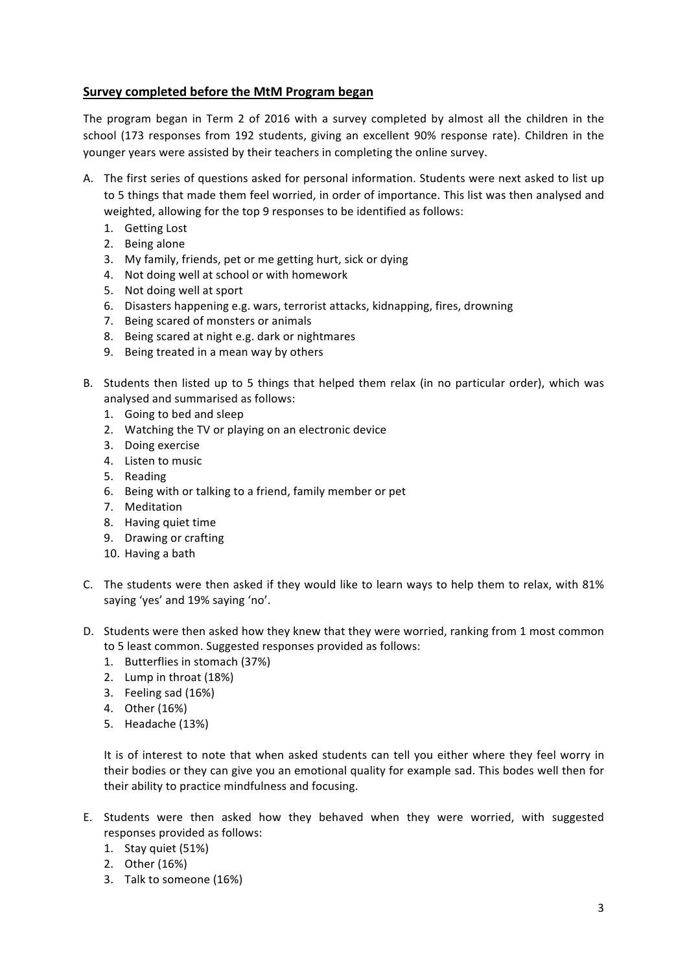### **Survey completed before the MtM Program began**

The program began in Term 2 of 2016 with a survey completed by almost all the children in the school (173 responses from 192 students, giving an excellent 90% response rate). Children in the younger years were assisted by their teachers in completing the online survey.

- A. The first series of questions asked for personal information. Students were next asked to list up to 5 things that made them feel worried, in order of importance. This list was then analysed and weighted, allowing for the top 9 responses to be identified as follows:
	- 1. Getting Lost
	- 2. Being alone
	- 3. My family, friends, pet or me getting hurt, sick or dying
	- 4. Not doing well at school or with homework
	- 5. Not doing well at sport
	- 6. Disasters happening e.g. wars, terrorist attacks, kidnapping, fires, drowning
	- 7. Being scared of monsters or animals
	- 8. Being scared at night e.g. dark or nightmares
	- 9. Being treated in a mean way by others
- B. Students then listed up to 5 things that helped them relax (in no particular order), which was analysed and summarised as follows:
	- 1. Going to bed and sleep
	- 2. Watching the TV or playing on an electronic device
	- 3. Doing exercise
	- 4. Listen to music
	- 5. Reading
	- 6. Being with or talking to a friend, family member or pet
	- 7. Meditation
	- 8. Having quiet time
	- 9. Drawing or crafting
	- 10. Having a bath
- C. The students were then asked if they would like to learn ways to help them to relax, with 81% saying 'yes' and 19% saying 'no'.
- D. Students were then asked how they knew that they were worried, ranking from 1 most common to 5 least common. Suggested responses provided as follows:
	- 1. Butterflies in stomach (37%)
	- 2. Lump in throat (18%)
	- 3. Feeling sad (16%)
	- 4. Other (16%)
	- 5. Headache (13%)

It is of interest to note that when asked students can tell you either where they feel worry in their bodies or they can give you an emotional quality for example sad. This bodes well then for their ability to practice mindfulness and focusing.

- E. Students were then asked how they behaved when they were worried, with suggested responses provided as follows:
	- 1. Stay quiet (51%)
	- 2. Other (16%)
	- 3. Talk to someone (16%)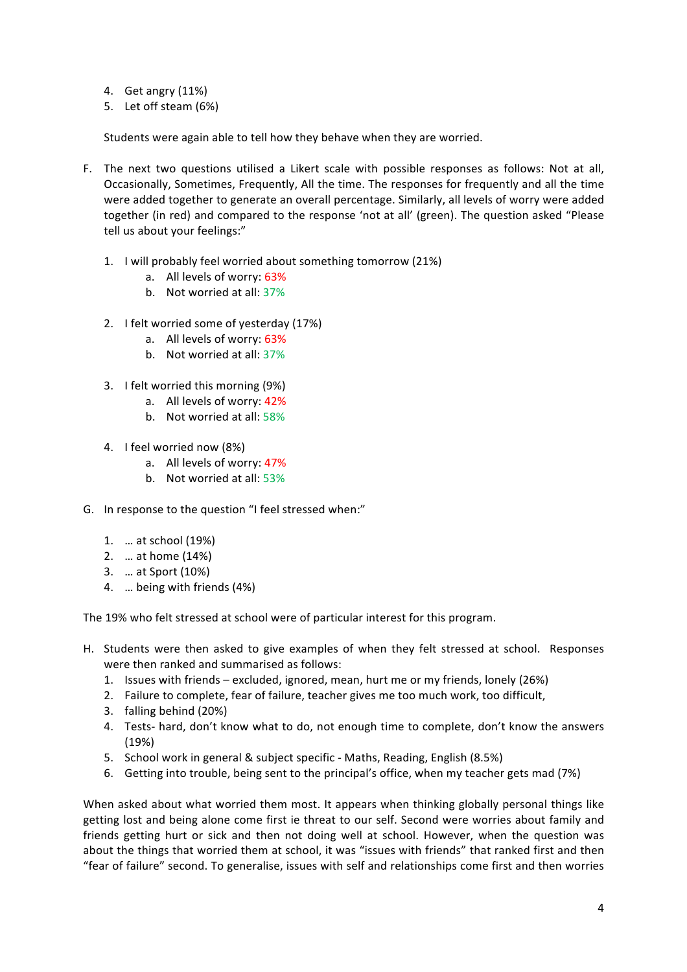- 4. Get angry (11%)
- 5. Let off steam (6%)

Students were again able to tell how they behave when they are worried.

- F. The next two questions utilised a Likert scale with possible responses as follows: Not at all, Occasionally, Sometimes, Frequently, All the time. The responses for frequently and all the time were added together to generate an overall percentage. Similarly, all levels of worry were added together (in red) and compared to the response 'not at all' (green). The question asked "Please tell us about your feelings:"
	- 1. I will probably feel worried about something tomorrow (21%)
		- a. All levels of worry: 63%
		- b. Not worried at all: 37%
	- 2. I felt worried some of vesterday (17%)
		- a. All levels of worry: 63%
		- b. Not worried at all: 37%
	- 3. I felt worried this morning (9%)
		- a. All levels of worry: 42%
		- b. Not worried at all: 58%
	- 4. I feel worried now (8%)
		- a. All levels of worry: 47%
		- b. Not worried at all: 53%
- G. In response to the question "I feel stressed when:"
	- 1. … at school (19%)
	- 2. ... at home (14%)
	- 3. … at Sport (10%)
	- 4. ... being with friends (4%)

The 19% who felt stressed at school were of particular interest for this program.

- H. Students were then asked to give examples of when they felt stressed at school. Responses were then ranked and summarised as follows:
	- 1. Issues with friends excluded, ignored, mean, hurt me or my friends, lonely (26%)
	- 2. Failure to complete, fear of failure, teacher gives me too much work, too difficult,
	- 3. falling behind (20%)
	- 4. Tests- hard, don't know what to do, not enough time to complete, don't know the answers (19%)
	- 5. School work in general & subject specific Maths, Reading, English (8.5%)
	- 6. Getting into trouble, being sent to the principal's office, when my teacher gets mad (7%)

When asked about what worried them most. It appears when thinking globally personal things like getting lost and being alone come first ie threat to our self. Second were worries about family and friends getting hurt or sick and then not doing well at school. However, when the question was about the things that worried them at school, it was "issues with friends" that ranked first and then "fear of failure" second. To generalise, issues with self and relationships come first and then worries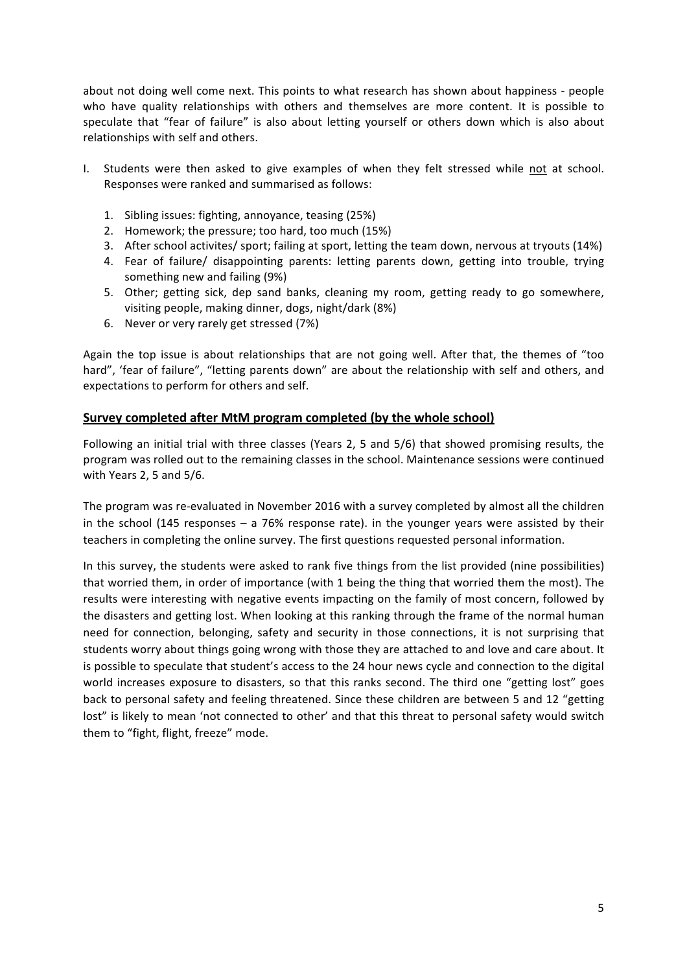about not doing well come next. This points to what research has shown about happiness - people who have quality relationships with others and themselves are more content. It is possible to speculate that "fear of failure" is also about letting yourself or others down which is also about relationships with self and others.

- I. Students were then asked to give examples of when they felt stressed while not at school. Responses were ranked and summarised as follows:
	- 1. Sibling issues: fighting, annoyance, teasing (25%)
	- 2. Homework; the pressure; too hard, too much (15%)
	- 3. After school activites/ sport; failing at sport, letting the team down, nervous at tryouts (14%)
	- 4. Fear of failure/ disappointing parents: letting parents down, getting into trouble, trying something new and failing (9%)
	- 5. Other; getting sick, dep sand banks, cleaning my room, getting ready to go somewhere, visiting people, making dinner, dogs, night/dark (8%)
	- 6. Never or very rarely get stressed (7%)

Again the top issue is about relationships that are not going well. After that, the themes of "too hard", 'fear of failure", "letting parents down" are about the relationship with self and others, and expectations to perform for others and self.

#### **Survey completed after MtM program completed (by the whole school)**

Following an initial trial with three classes (Years 2, 5 and 5/6) that showed promising results, the program was rolled out to the remaining classes in the school. Maintenance sessions were continued with Years 2, 5 and 5/6.

The program was re-evaluated in November 2016 with a survey completed by almost all the children in the school (145 responses  $-$  a 76% response rate). in the younger years were assisted by their teachers in completing the online survey. The first questions requested personal information.

In this survey, the students were asked to rank five things from the list provided (nine possibilities) that worried them, in order of importance (with 1 being the thing that worried them the most). The results were interesting with negative events impacting on the family of most concern, followed by the disasters and getting lost. When looking at this ranking through the frame of the normal human need for connection, belonging, safety and security in those connections, it is not surprising that students worry about things going wrong with those they are attached to and love and care about. It is possible to speculate that student's access to the 24 hour news cycle and connection to the digital world increases exposure to disasters, so that this ranks second. The third one "getting lost" goes back to personal safety and feeling threatened. Since these children are between 5 and 12 "getting lost" is likely to mean 'not connected to other' and that this threat to personal safety would switch them to "fight, flight, freeze" mode.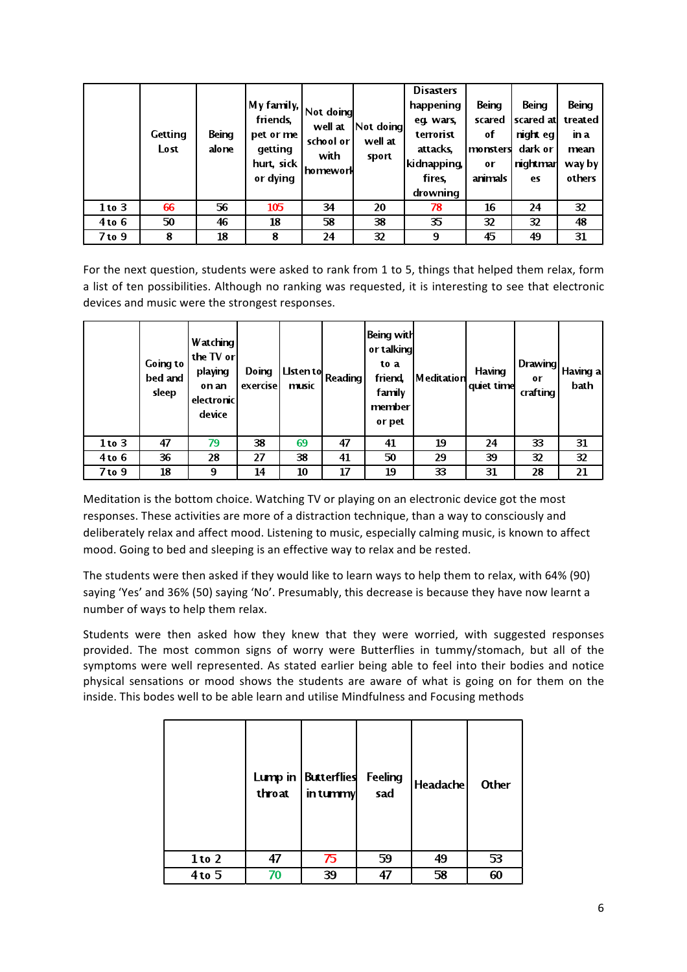|            | Getting<br>Lost | Being<br>alone | My family,  <br>friends.<br>pet or me<br>getting | Not doing<br>well at<br>school or | Not doing <br>well at | <b>Disasters</b><br>happening<br>eq. wars,<br>terrorist<br>attacks. | Being<br>scared<br>оf<br>monsters | Being<br>scared at<br>night eg l<br>dark or | Being<br>treated<br>in a<br>mean |
|------------|-----------------|----------------|--------------------------------------------------|-----------------------------------|-----------------------|---------------------------------------------------------------------|-----------------------------------|---------------------------------------------|----------------------------------|
|            |                 |                | hurt, sick<br>or dying                           | with<br>'homework                 | sport                 | kidnapping,<br>fires.<br>drowning                                   | or<br>animals                     | nightmar<br>es                              | way by<br>others                 |
| $1$ to $3$ | 66              | 56             | 105                                              | 34                                | 20                    | 78                                                                  | 16                                | 24                                          | 32                               |
| $4$ to $6$ | 50              | 46             | 18                                               | 58                                | 38                    | 35                                                                  | 32                                | 32                                          | 48                               |
| $7$ to $9$ | 8               | 18             | 8                                                | 24                                | 32                    | 9                                                                   | 45                                | 49                                          | 31                               |

For the next question, students were asked to rank from 1 to 5, things that helped them relax, form a list of ten possibilities. Although no ranking was requested, it is interesting to see that electronic devices and music were the strongest responses.

|            | Going to<br>bed and<br>sleep | Watching<br>the TV orl<br>playing<br>on an<br>electronic<br>device | Doing<br>exercise | Listen to<br>music | <b>Reading</b> | Being with<br>or talking<br>to a<br>friend,<br>family<br>member<br>or pet | <b>Meditation</b> | Having<br>quiet time | Drawing<br>0r<br>crafting | <sub>i</sub> Having a <br>bath |
|------------|------------------------------|--------------------------------------------------------------------|-------------------|--------------------|----------------|---------------------------------------------------------------------------|-------------------|----------------------|---------------------------|--------------------------------|
| $1$ to $3$ | 47                           | 79                                                                 | 38                | 69                 | 47             | 41                                                                        | 19                | 24                   | 33                        | 31                             |
| $4$ to $6$ | 36                           | 28                                                                 | 27                | 38                 | 41             | 50                                                                        | 29                | 39                   | 32                        | $\overline{32}$                |
| 7 to 9     | 18                           | 9                                                                  | 14                | 10                 | 17             | 19                                                                        | 33                | 31                   | 28                        | 21                             |

Meditation is the bottom choice. Watching TV or playing on an electronic device got the most responses. These activities are more of a distraction technique, than a way to consciously and deliberately relax and affect mood. Listening to music, especially calming music, is known to affect mood. Going to bed and sleeping is an effective way to relax and be rested.

The students were then asked if they would like to learn ways to help them to relax, with 64% (90) saying 'Yes' and 36% (50) saying 'No'. Presumably, this decrease is because they have now learnt a number of ways to help them relax.

Students were then asked how they knew that they were worried, with suggested responses provided. The most common signs of worry were Butterflies in tummy/stomach, but all of the symptoms were well represented. As stated earlier being able to feel into their bodies and notice physical sensations or mood shows the students are aware of what is going on for them on the inside. This bodes well to be able learn and utilise Mindfulness and Focusing methods

|            | throat | Lump in   Butterflies<br>in tummy | Feeling<br>sad | <b>Headache</b> | Other |
|------------|--------|-----------------------------------|----------------|-----------------|-------|
| $1$ to $2$ | 47     | 75                                | 59             | 49              | 53    |
| $4$ to $5$ | 70     | 39                                | 47             | 58              | 60    |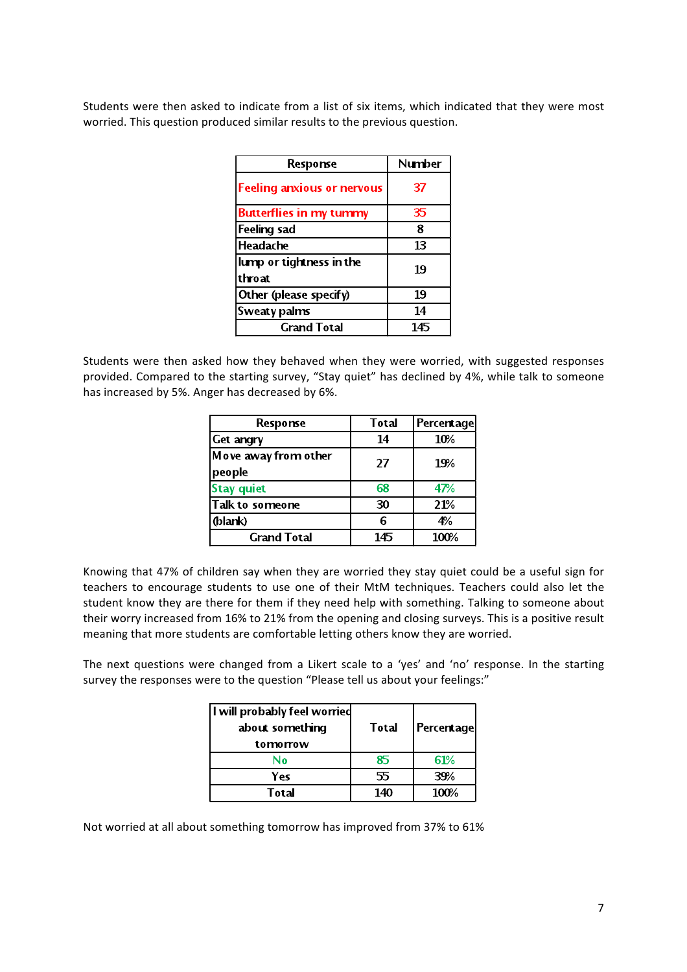Students were then asked to indicate from a list of six items, which indicated that they were most worried. This question produced similar results to the previous question.

| Response                           | <b>Number</b> |
|------------------------------------|---------------|
| <b>Feeling anxious or nervous</b>  | 37            |
| <b>Butterflies in my tummy</b>     | 35            |
| <b>Feeling sad</b>                 | 8             |
| Headache                           | 13            |
| lump or tightness in the<br>throat | 19            |
| Other (please specify)             | 19            |
| Sweaty palms                       | 14            |
| <b>Grand Total</b>                 | 145           |

Students were then asked how they behaved when they were worried, with suggested responses provided. Compared to the starting survey, "Stay quiet" has declined by 4%, while talk to someone has increased by 5%. Anger has decreased by 6%.

| Response                       | Total | Percentage |
|--------------------------------|-------|------------|
| <b>Get angry</b>               | 14    | 10%        |
| Move away from other<br>people | 27    | 19%        |
| <b>Stay quiet</b>              | 68    | 47%        |
| Talk to someone                | 30    | 21%        |
| (blank)                        | 6     | 4%         |
| <b>Grand Total</b>             | 145   | 100%       |

Knowing that 47% of children say when they are worried they stay quiet could be a useful sign for teachers to encourage students to use one of their MtM techniques. Teachers could also let the student know they are there for them if they need help with something. Talking to someone about their worry increased from 16% to 21% from the opening and closing surveys. This is a positive result meaning that more students are comfortable letting others know they are worried.

The next questions were changed from a Likert scale to a 'yes' and 'no' response. In the starting survey the responses were to the question "Please tell us about your feelings:"

| I will probably feel worried<br>about something<br>tomorrow | Total | <b>Percentage</b> |
|-------------------------------------------------------------|-------|-------------------|
| N٥                                                          | 85    | 61%               |
| Yes                                                         | 55    | 39%               |
| Total                                                       | 140   | 100%              |

Not worried at all about something tomorrow has improved from 37% to 61%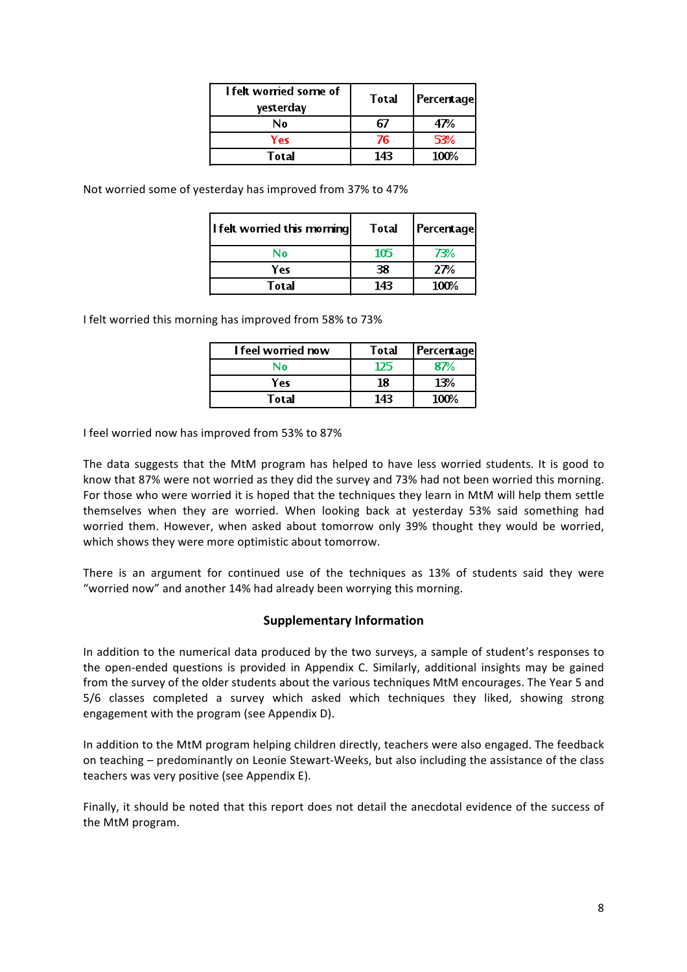| I felt worried some of<br>yesterday | Total | <b>Percentage</b> |
|-------------------------------------|-------|-------------------|
| N٥                                  | 67    | 47%               |
| Yes                                 | 76    | 53%               |
| Total                               | 143   | 100%              |

Not worried some of yesterday has improved from 37% to 47%

| l I felt worried this morning | <b>Total</b> | <b>Percentage</b> |
|-------------------------------|--------------|-------------------|
| N۵                            | 105          | 73%               |
| Yes                           | 38           | 27%               |
| Total                         | 143          | 100%              |

I felt worried this morning has improved from 58% to 73%

| <b>I</b> feel womed now | Total | <b>Percentage</b> |
|-------------------------|-------|-------------------|
| N٥                      | 125   | 87%               |
| Yes                     | 18    | 13%               |
| Total                   | 143   | 100%              |

I feel worried now has improved from 53% to 87%

The data suggests that the MtM program has helped to have less worried students. It is good to know that 87% were not worried as they did the survey and 73% had not been worried this morning. For those who were worried it is hoped that the techniques they learn in MtM will help them settle themselves when they are worried. When looking back at yesterday 53% said something had worried them. However, when asked about tomorrow only 39% thought they would be worried, which shows they were more optimistic about tomorrow.

There is an argument for continued use of the techniques as 13% of students said they were "worried now" and another 14% had already been worrying this morning.

#### **Supplementary Information**

In addition to the numerical data produced by the two surveys, a sample of student's responses to the open-ended questions is provided in Appendix C. Similarly, additional insights may be gained from the survey of the older students about the various techniques MtM encourages. The Year 5 and 5/6 classes completed a survey which asked which techniques they liked, showing strong engagement with the program (see Appendix D).

In addition to the MtM program helping children directly, teachers were also engaged. The feedback on teaching – predominantly on Leonie Stewart-Weeks, but also including the assistance of the class teachers was very positive (see Appendix E).

Finally, it should be noted that this report does not detail the anecdotal evidence of the success of the MtM program.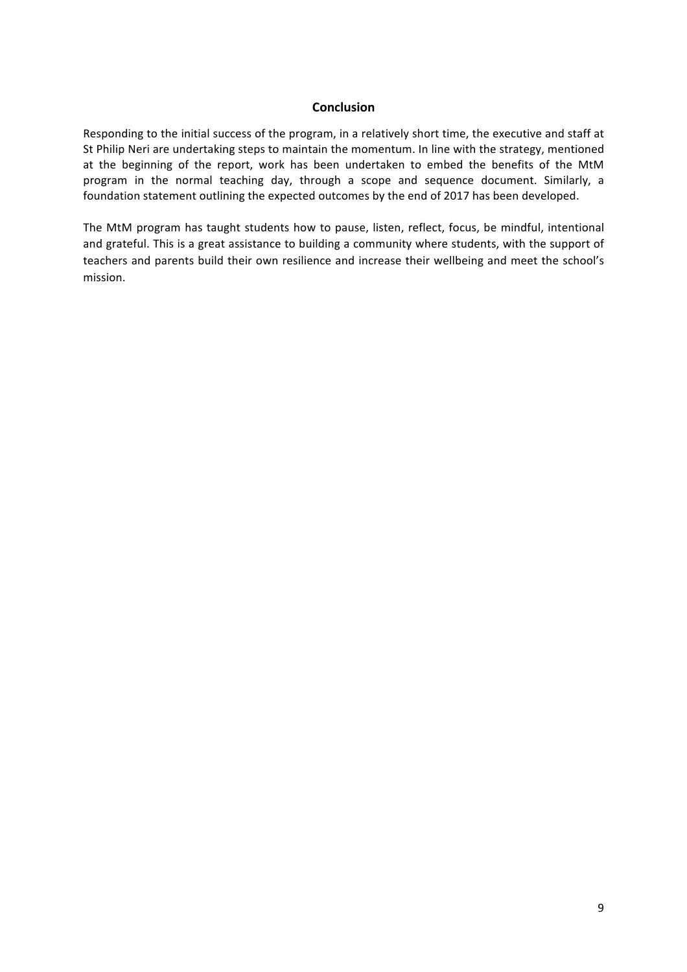#### **Conclusion**

Responding to the initial success of the program, in a relatively short time, the executive and staff at St Philip Neri are undertaking steps to maintain the momentum. In line with the strategy, mentioned at the beginning of the report, work has been undertaken to embed the benefits of the MtM program in the normal teaching day, through a scope and sequence document. Similarly, a foundation statement outlining the expected outcomes by the end of 2017 has been developed.

The MtM program has taught students how to pause, listen, reflect, focus, be mindful, intentional and grateful. This is a great assistance to building a community where students, with the support of teachers and parents build their own resilience and increase their wellbeing and meet the school's mission.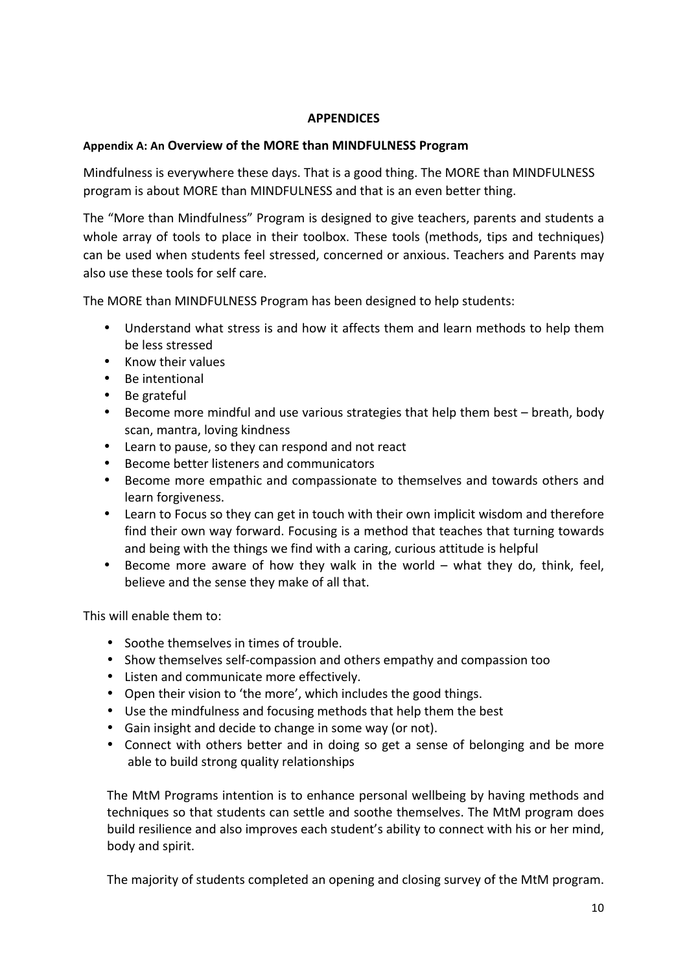## **APPENDICES**

## Appendix A: An Overview of the MORE than MINDFULNESS Program

Mindfulness is everywhere these days. That is a good thing. The MORE than MINDFULNESS program is about MORE than MINDFULNESS and that is an even better thing.

The "More than Mindfulness" Program is designed to give teachers, parents and students a whole array of tools to place in their toolbox. These tools (methods, tips and techniques) can be used when students feel stressed, concerned or anxious. Teachers and Parents may also use these tools for self care.

The MORE than MINDFULNESS Program has been designed to help students:

- Understand what stress is and how it affects them and learn methods to help them be less stressed
- Know their values
- Be intentional
- Be grateful
- Become more mindful and use various strategies that help them best breath, body scan, mantra, loving kindness
- Learn to pause, so they can respond and not react
- Become better listeners and communicators
- Become more empathic and compassionate to themselves and towards others and learn forgiveness.
- Learn to Focus so they can get in touch with their own implicit wisdom and therefore find their own way forward. Focusing is a method that teaches that turning towards and being with the things we find with a caring, curious attitude is helpful
- Become more aware of how they walk in the world what they do, think, feel, believe and the sense they make of all that.

This will enable them to:

- Soothe themselves in times of trouble.
- Show themselves self-compassion and others empathy and compassion too
- Listen and communicate more effectively.
- Open their vision to 'the more', which includes the good things.
- Use the mindfulness and focusing methods that help them the best
- Gain insight and decide to change in some way (or not).
- Connect with others better and in doing so get a sense of belonging and be more able to build strong quality relationships

The MtM Programs intention is to enhance personal wellbeing by having methods and techniques so that students can settle and soothe themselves. The MtM program does build resilience and also improves each student's ability to connect with his or her mind, body and spirit.

The majority of students completed an opening and closing survey of the MtM program.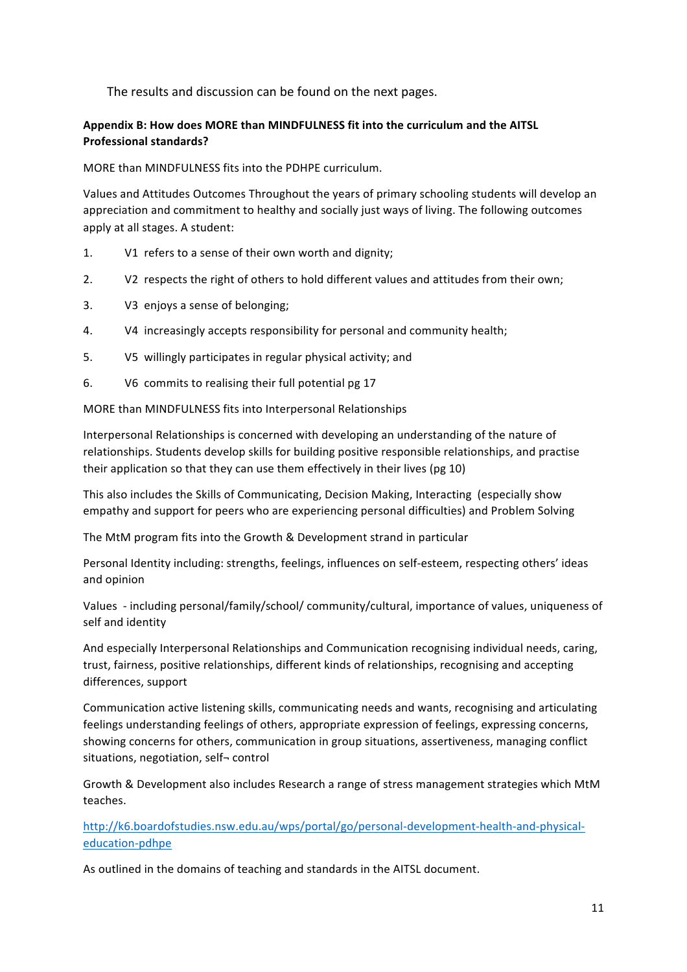The results and discussion can be found on the next pages.

### Appendix B: How does MORE than MINDFULNESS fit into the curriculum and the AITSL **Professional standards?**

MORE than MINDFULNESS fits into the PDHPE curriculum.

Values and Attitudes Outcomes Throughout the years of primary schooling students will develop an appreciation and commitment to healthy and socially just ways of living. The following outcomes apply at all stages. A student:

- 1. V1 refers to a sense of their own worth and dignity;
- 2. V2 respects the right of others to hold different values and attitudes from their own;
- 3. V3 enjoys a sense of belonging;
- 4. V4 increasingly accepts responsibility for personal and community health;
- 5. V5 willingly participates in regular physical activity; and
- 6. V6 commits to realising their full potential pg 17

MORE than MINDFULNESS fits into Interpersonal Relationships

Interpersonal Relationships is concerned with developing an understanding of the nature of relationships. Students develop skills for building positive responsible relationships, and practise their application so that they can use them effectively in their lives (pg 10)

This also includes the Skills of Communicating, Decision Making, Interacting (especially show empathy and support for peers who are experiencing personal difficulties) and Problem Solving

The MtM program fits into the Growth & Development strand in particular

Personal Identity including: strengths, feelings, influences on self-esteem, respecting others' ideas and opinion 

Values - including personal/family/school/ community/cultural, importance of values, uniqueness of self and identity

And especially Interpersonal Relationships and Communication recognising individual needs, caring, trust, fairness, positive relationships, different kinds of relationships, recognising and accepting differences, support

Communication active listening skills, communicating needs and wants, recognising and articulating feelings understanding feelings of others, appropriate expression of feelings, expressing concerns, showing concerns for others, communication in group situations, assertiveness, managing conflict situations, negotiation, self- control

Growth & Development also includes Research a range of stress management strategies which MtM teaches.

http://k6.boardofstudies.nsw.edu.au/wps/portal/go/personal-development-health-and-physicaleducation-pdhpe

As outlined in the domains of teaching and standards in the AITSL document.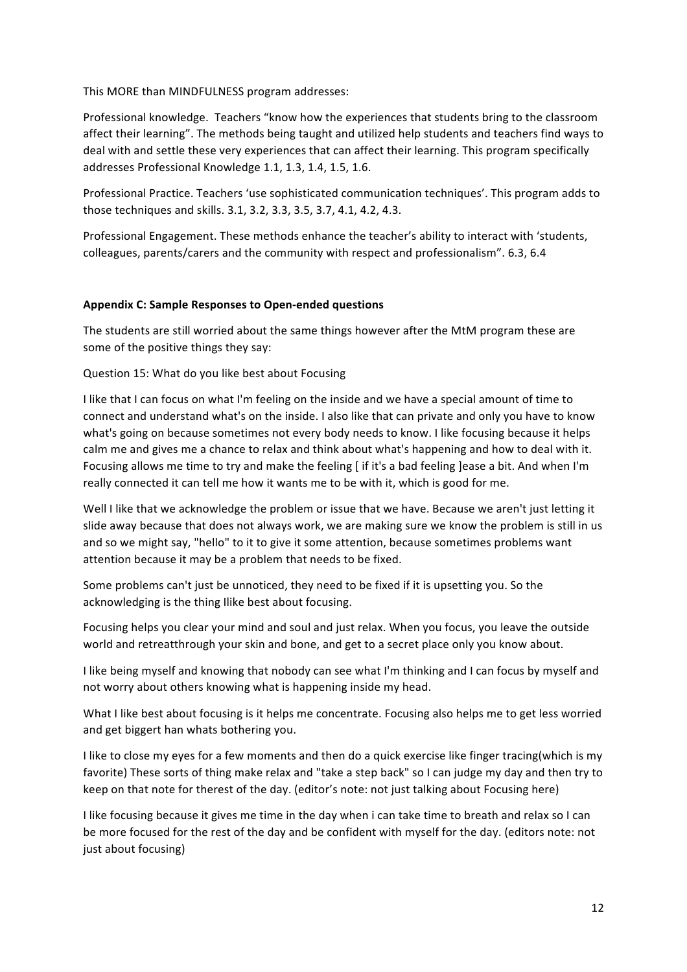This MORE than MINDFULNESS program addresses:

Professional knowledge. Teachers "know how the experiences that students bring to the classroom affect their learning". The methods being taught and utilized help students and teachers find ways to deal with and settle these very experiences that can affect their learning. This program specifically addresses Professional Knowledge 1.1, 1.3, 1.4, 1.5, 1.6.

Professional Practice. Teachers 'use sophisticated communication techniques'. This program adds to those techniques and skills. 3.1, 3.2, 3.3, 3.5, 3.7, 4.1, 4.2, 4.3.

Professional Engagement. These methods enhance the teacher's ability to interact with 'students, colleagues, parents/carers and the community with respect and professionalism". 6.3, 6.4

#### **Appendix C: Sample Responses to Open-ended questions**

The students are still worried about the same things however after the MtM program these are some of the positive things they say:

Question 15: What do you like best about Focusing

I like that I can focus on what I'm feeling on the inside and we have a special amount of time to connect and understand what's on the inside. I also like that can private and only you have to know what's going on because sometimes not every body needs to know. I like focusing because it helps calm me and gives me a chance to relax and think about what's happening and how to deal with it. Focusing allows me time to try and make the feeling [ if it's a bad feeling ]ease a bit. And when I'm really connected it can tell me how it wants me to be with it, which is good for me.

Well I like that we acknowledge the problem or issue that we have. Because we aren't just letting it slide away because that does not always work, we are making sure we know the problem is still in us and so we might say, "hello" to it to give it some attention, because sometimes problems want attention because it may be a problem that needs to be fixed.

Some problems can't just be unnoticed, they need to be fixed if it is upsetting you. So the acknowledging is the thing Ilike best about focusing.

Focusing helps you clear your mind and soul and just relax. When you focus, you leave the outside world and retreatthrough your skin and bone, and get to a secret place only you know about.

I like being myself and knowing that nobody can see what I'm thinking and I can focus by myself and not worry about others knowing what is happening inside my head.

What I like best about focusing is it helps me concentrate. Focusing also helps me to get less worried and get biggert han whats bothering you.

I like to close my eyes for a few moments and then do a quick exercise like finger tracing(which is my favorite) These sorts of thing make relax and "take a step back" so I can judge my day and then try to keep on that note for therest of the day. (editor's note: not just talking about Focusing here)

I like focusing because it gives me time in the day when i can take time to breath and relax so I can be more focused for the rest of the day and be confident with myself for the day. (editors note: not just about focusing)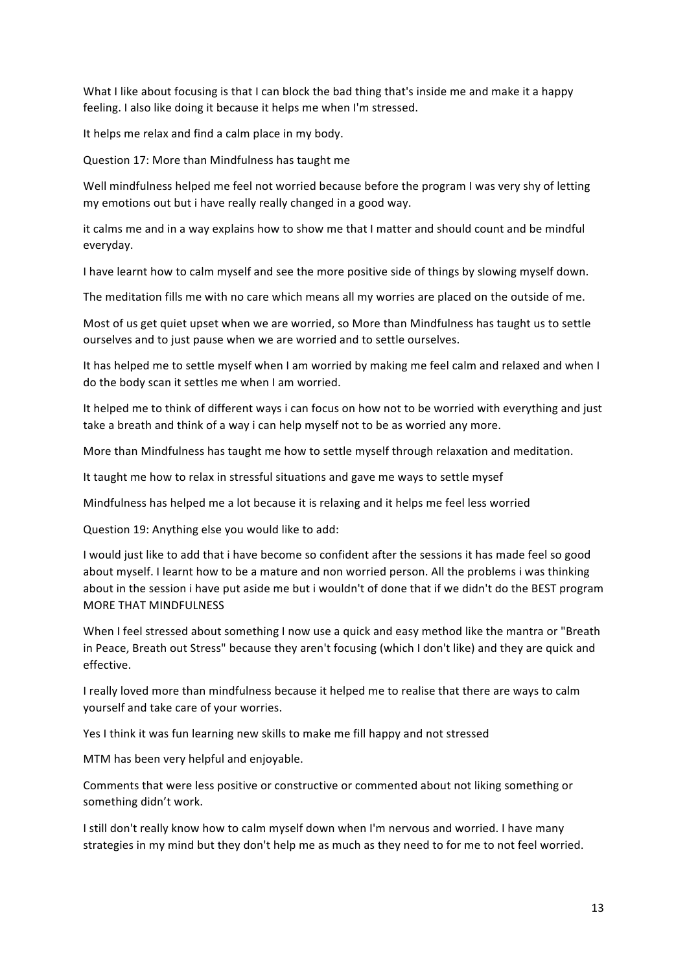What I like about focusing is that I can block the bad thing that's inside me and make it a happy feeling. I also like doing it because it helps me when I'm stressed.

It helps me relax and find a calm place in my body.

Question 17: More than Mindfulness has taught me

Well mindfulness helped me feel not worried because before the program I was very shy of letting my emotions out but i have really really changed in a good way.

it calms me and in a way explains how to show me that I matter and should count and be mindful everyday.

I have learnt how to calm myself and see the more positive side of things by slowing myself down.

The meditation fills me with no care which means all my worries are placed on the outside of me.

Most of us get quiet upset when we are worried, so More than Mindfulness has taught us to settle ourselves and to just pause when we are worried and to settle ourselves.

It has helped me to settle myself when I am worried by making me feel calm and relaxed and when I do the body scan it settles me when I am worried.

It helped me to think of different ways i can focus on how not to be worried with everything and just take a breath and think of a way i can help myself not to be as worried any more.

More than Mindfulness has taught me how to settle myself through relaxation and meditation.

It taught me how to relax in stressful situations and gave me ways to settle mysef

Mindfulness has helped me a lot because it is relaxing and it helps me feel less worried

Question 19: Anything else you would like to add:

I would just like to add that i have become so confident after the sessions it has made feel so good about myself. I learnt how to be a mature and non worried person. All the problems i was thinking about in the session i have put aside me but i wouldn't of done that if we didn't do the BEST program MORE THAT MINDFULNESS

When I feel stressed about something I now use a quick and easy method like the mantra or "Breath in Peace, Breath out Stress" because they aren't focusing (which I don't like) and they are quick and effective.

I really loved more than mindfulness because it helped me to realise that there are ways to calm yourself and take care of your worries.

Yes I think it was fun learning new skills to make me fill happy and not stressed

MTM has been very helpful and enjoyable.

Comments that were less positive or constructive or commented about not liking something or something didn't work.

I still don't really know how to calm myself down when I'm nervous and worried. I have many strategies in my mind but they don't help me as much as they need to for me to not feel worried.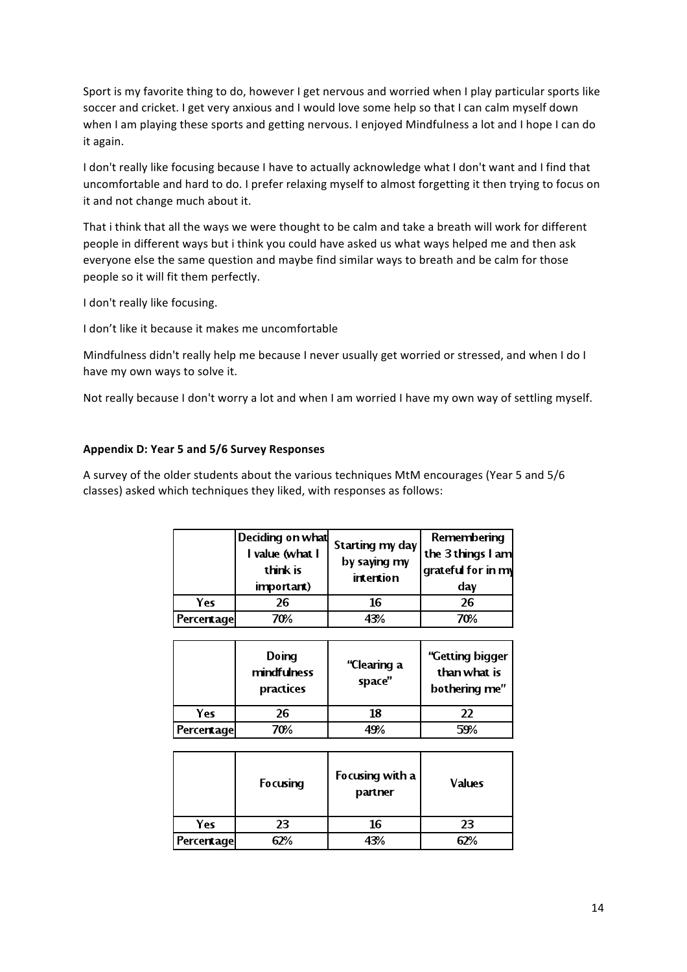Sport is my favorite thing to do, however I get nervous and worried when I play particular sports like soccer and cricket. I get very anxious and I would love some help so that I can calm myself down when I am playing these sports and getting nervous. I enjoyed Mindfulness a lot and I hope I can do it again.

I don't really like focusing because I have to actually acknowledge what I don't want and I find that uncomfortable and hard to do. I prefer relaxing myself to almost forgetting it then trying to focus on it and not change much about it.

That i think that all the ways we were thought to be calm and take a breath will work for different people in different ways but i think you could have asked us what ways helped me and then ask everyone else the same question and maybe find similar ways to breath and be calm for those people so it will fit them perfectly.

I don't really like focusing.

I don't like it because it makes me uncomfortable

Mindfulness didn't really help me because I never usually get worried or stressed, and when I do I have my own ways to solve it.

Not really because I don't worry a lot and when I am worried I have my own way of settling myself.

#### **Appendix D: Year 5 and 5/6 Survey Responses**

A survey of the older students about the various techniques MtM encourages (Year 5 and 5/6 classes) asked which techniques they liked, with responses as follows:

|            | Deciding on what<br>I value (what I<br>think is<br>important) | Starting my day<br>by saying my<br>intention | Remembering<br>the 3 things I am<br>grateful for in my<br>day |
|------------|---------------------------------------------------------------|----------------------------------------------|---------------------------------------------------------------|
| Yes        | 26                                                            | 16                                           | 26                                                            |
| Percentage | 70%                                                           | ાર%                                          | 70%                                                           |

|                   | Doing<br>mindfulness<br>practices | "Clearing a<br>space" | "Getting bigger<br>than what is<br>bothering me" |
|-------------------|-----------------------------------|-----------------------|--------------------------------------------------|
| Yes               | 26                                | 18                    | 22                                               |
| <b>Percentage</b> | 70%                               | 19%                   | 59%                                              |

|                   | <b>Focusing</b> | Focusing with a<br>partner | <b>Values</b> |
|-------------------|-----------------|----------------------------|---------------|
| Yes               | 23              | 16                         | 23            |
| <b>Percentage</b> |                 | 13%                        |               |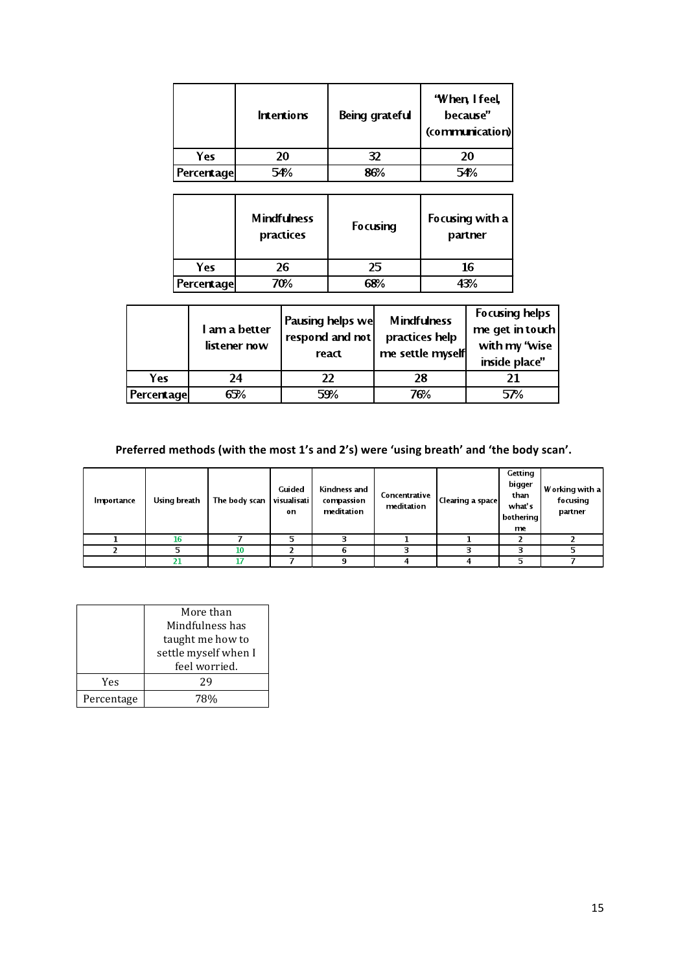|            | <b>Intentions</b> | Being grateful | 'When, I feel,<br>because"<br>(communication) |
|------------|-------------------|----------------|-----------------------------------------------|
| Yes        | 20                | 32             | 20                                            |
| Percentage | 54%               |                |                                               |

|                   | <b>Mindfulness</b><br>practices | <b>Focusing</b> | Focusing with a<br>partner |
|-------------------|---------------------------------|-----------------|----------------------------|
| Yes               | 26                              | 25              | 16                         |
| <b>Percentage</b> | 70%                             |                 |                            |

|                                               | inside place" |
|-----------------------------------------------|---------------|
| Yes<br>24<br>28<br>21<br>22                   |               |
| 59%<br>76%<br>65%<br><b>Percentage</b><br>57% |               |

# Preferred methods (with the most 1's and 2's) were 'using breath' and 'the body scan'.

| Importance | Using breath | The body scan | <b>Guided</b><br>visualisati<br>on | Kindness and<br>compassion<br>meditation | Concentrative<br>meditation | Clearing a space | Getting<br>bigger<br>than<br>what's<br>bothering<br>me | Working with a<br>focusing<br>partner |
|------------|--------------|---------------|------------------------------------|------------------------------------------|-----------------------------|------------------|--------------------------------------------------------|---------------------------------------|
|            | 16           |               |                                    | ∍                                        |                             |                  |                                                        |                                       |
|            |              | 10            |                                    | n                                        |                             |                  |                                                        |                                       |
|            |              | 17            |                                    |                                          |                             |                  |                                                        |                                       |

|            | More than            |
|------------|----------------------|
|            | Mindfulness has      |
|            | taught me how to     |
|            | settle myself when I |
|            | feel worried.        |
| Yes        | 29                   |
| Percentage |                      |